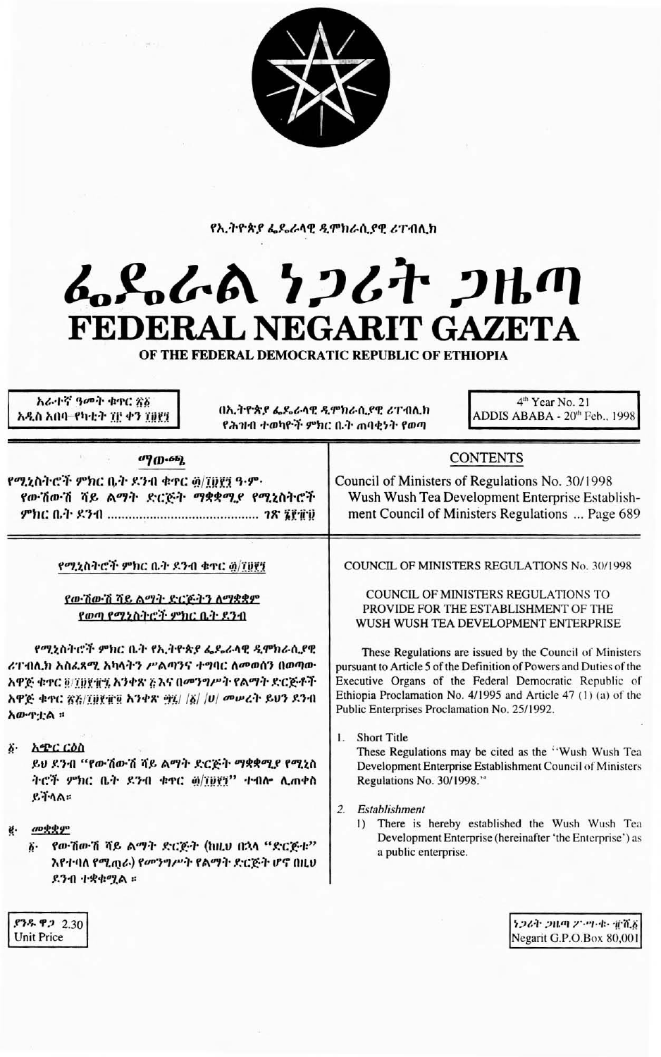

የኢትዮጵያ ፌዴራላዊ ዲሞክራሲያዊ ሪፐብሊክ

## ፌዴራል ነጋሪት ጋዜጣ FEDERAL NEGARIT GAZETA

OF THE FEDERAL DEMOCRATIC REPUBLIC OF ETHIOPIA

አራተኛ ዓመት ቁዋር ጽእ 4<sup>th</sup> Year No. 21 በኢትዮጵያ ፌዴራላዊ ዲሞክራሲያዊ ሪፐብሊክ ADDIS ABABA - 20<sup>th</sup> Feb., 1998 አዲስ አበባ–የካቲት ፕሮ ቀን ፕ፱፻፺ የሕዝብ ተወካዮች ምክር ቤት ጠባቂነት የወጣ **CONTENTS** 09 (D.6b). የሚኒስትሮች ምክር ቤት ዶንብ ቁተር ፴/፲፱፻፺ ዓ-ም· Council of Ministers of Regulations No. 30/1998 የውሽውሽ ሻይ ልማት ድርጅት ማቋቋሚያ የሚኒስትሮች Wush Wush Tea Development Enterprise Establishment Council of Ministers Regulations ... Page 689 **COUNCIL OF MINISTERS REGULATIONS No. 30/1998** የሚኒስትሮች ምክር ቤት ደንብ ቁተር ፴/፲፱፻፺ COUNCIL OF MINISTERS REGULATIONS TO የውሽውሽ ሻይ ልማት ድርጅትን ለማቋቋም PROVIDE FOR THE ESTABLISHMENT OF THE የወጣ የሚኔስትሮች ምክር ቤት ደንብ WUSH WUSH TEA DEVELOPMENT ENTERPRISE የሚኒስትሮች ምክር ቤት የኢትዮጵያ ፌዴራላዊ ዲሞክራሲያዊ These Regulations are issued by the Council of Ministers ሪፐ ብሊክ አስፈጻሚ አካላትን ሥልጣንና ተግባር ለመወሰን በወጣው pursuant to Article 5 of the Definition of Powers and Duties of the አዋጅ ቁተር ፬/፲፱፻፹፯ እንቀጽ ភូእና በመንግሥት የልማት ድርጅቶች Executive Organs of the Federal Democratic Republic of Ethiopia Proclamation No. 4/1995 and Article 47 (1) (a) of the አዋጅ ቁጥር ጽእ/፲፱፻፹፬ አንቀጽ ፵፱/ /፩/ /ሀ/ መሥሪት ይህን ደንብ Public Enterprises Proclamation No. 25/1992. አውዋቷል ፡፡  $\mathbf{L}$ **Short Title** δ **ΛΦC CÔN** These Regulations may be cited as the "Wush Wush Tea ይህ ደንብ "የውሽውሽ ሻይ ልማት ድርጅት ማቋቋሚያ የሚኒስ Development Enterprise Establishment Council of Ministers ትሮች ምክር ቤት ደንብ ቁተር <u>ø/፲፱፻</u>፺" ተብሎ ሊጠቀስ Regulations No. 30/1998." ይችላል። 2. Establishment 1) There is hereby established the Wush Wush Tea முழ்ழு ë. Development Enterprise (hereinafter 'the Enterprise') as ፩· የውሽውሽ ሻይ ልማት ድርጅት (ከዚህ በኋላ "ድርጅቱ" a public enterprise. እየተባለ የሚጠራ) የመንግሥት የልማት ድርጅት ሆኖ በዚህ

**ያንዱ ዋ.** 2.30 **Unit Price** 

ደንብ ተቋቁሟል ።

ነጋሪት ጋዜጣ 25.ማ-ቀ- ቋንሺ፩ Negarit G.P.O.Box 80,001